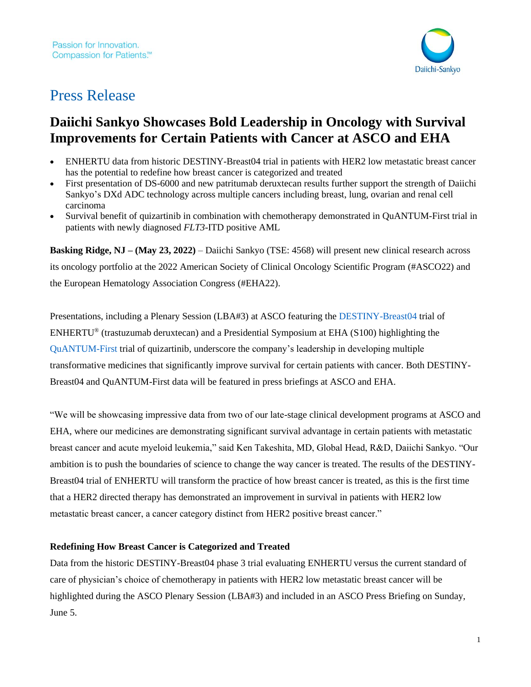

# Press Release

## **Daiichi Sankyo Showcases Bold Leadership in Oncology with Survival Improvements for Certain Patients with Cancer at ASCO and EHA**

- ENHERTU data from historic DESTINY-Breast04 trial in patients with HER2 low metastatic breast cancer has the potential to redefine how breast cancer is categorized and treated
- First presentation of DS-6000 and new patritumab deruxtecan results further support the strength of Daiichi Sankyo's DXd ADC technology across multiple cancers including breast, lung, ovarian and renal cell carcinoma
- Survival benefit of quizartinib in combination with chemotherapy demonstrated in QuANTUM-First trial in patients with newly diagnosed *FLT3*-ITD positive AML

**Basking Ridge, NJ – (May 23, 2022)** – Daiichi Sankyo (TSE: 4568) will present new clinical research across its oncology portfolio at the 2022 American Society of Clinical Oncology Scientific Program (#ASCO22) and the European Hematology Association Congress (#EHA22).

Presentations, including a Plenary Session (LBA#3) at ASCO featuring the [DESTINY-Breast04](https://clinicaltrials.gov/ct2/show/NCT03734029) trial of ENHERTU® (trastuzumab deruxtecan) and a Presidential Symposium at EHA (S100) highlighting the [QuANTUM-First](https://clinicaltrials.gov/ct2/show/NCT02668653) trial of quizartinib, underscore the company's leadership in developing multiple transformative medicines that significantly improve survival for certain patients with cancer. Both DESTINY-Breast04 and QuANTUM-First data will be featured in press briefings at ASCO and EHA.

"We will be showcasing impressive data from two of our late-stage clinical development programs at ASCO and EHA, where our medicines are demonstrating significant survival advantage in certain patients with metastatic breast cancer and acute myeloid leukemia," said Ken Takeshita, MD, Global Head, R&D, Daiichi Sankyo. "Our ambition is to push the boundaries of science to change the way cancer is treated. The results of the DESTINY-Breast04 trial of ENHERTU will transform the practice of how breast cancer is treated, as this is the first time that a HER2 directed therapy has demonstrated an improvement in survival in patients with HER2 low metastatic breast cancer, a cancer category distinct from HER2 positive breast cancer."

## **Redefining How Breast Cancer is Categorized and Treated**

Data from the historic DESTINY-Breast04 phase 3 trial evaluating ENHERTU versus the current standard of care of physician's choice of chemotherapy in patients with HER2 low metastatic breast cancer will be highlighted during the ASCO Plenary Session (LBA#3) and included in an ASCO Press Briefing on Sunday, June 5.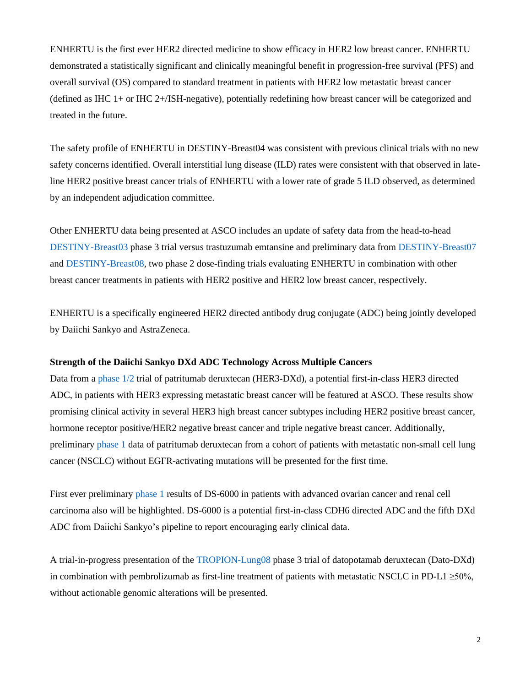ENHERTU is the first ever HER2 directed medicine to show efficacy in HER2 low breast cancer. ENHERTU demonstrated a statistically significant and clinically meaningful benefit in progression-free survival (PFS) and overall survival (OS) compared to standard treatment in patients with HER2 low metastatic breast cancer (defined as IHC 1+ or IHC 2+/ISH-negative), potentially redefining how breast cancer will be categorized and treated in the future.

The safety profile of ENHERTU in DESTINY-Breast04 was consistent with previous clinical trials with no new safety concerns identified. Overall interstitial lung disease (ILD) rates were consistent with that observed in lateline HER2 positive breast cancer trials of ENHERTU with a lower rate of grade 5 ILD observed, as determined by an independent adjudication committee.

Other ENHERTU data being presented at ASCO includes an update of safety data from the head-to-head [DESTINY-Breast03](https://clinicaltrials.gov/ct2/show/NCT03529110) phase 3 trial versus trastuzumab emtansine and preliminary data from [DESTINY-Breast07](https://clinicaltrials.gov/ct2/show/NCT04538742) and [DESTINY-Breast08,](https://clinicaltrials.gov/ct2/show/NCT04556773) two phase 2 dose-finding trials evaluating ENHERTU in combination with other breast cancer treatments in patients with HER2 positive and HER2 low breast cancer, respectively.

ENHERTU is a specifically engineered HER2 directed antibody drug conjugate (ADC) being jointly developed by Daiichi Sankyo and AstraZeneca.

## **Strength of the Daiichi Sankyo DXd ADC Technology Across Multiple Cancers**

Data from a [phase 1/2](https://clinicaltrials.gov/ct2/show/NCT02980341) trial of patritumab deruxtecan (HER3-DXd), a potential first-in-class HER3 directed ADC, in patients with HER3 expressing metastatic breast cancer will be featured at ASCO. These results show promising clinical activity in several HER3 high breast cancer subtypes including HER2 positive breast cancer, hormone receptor positive/HER2 negative breast cancer and triple negative breast cancer. Additionally, preliminar[y phase 1](https://clinicaltrials.gov/ct2/show/NCT03260491) data of patritumab deruxtecan from a cohort of patients with metastatic non-small cell lung cancer (NSCLC) without EGFR-activating mutations will be presented for the first time.

First ever preliminary [phase 1](https://clinicaltrials.gov/ct2/show/NCT04707248) results of DS-6000 in patients with advanced ovarian cancer and renal cell carcinoma also will be highlighted. DS-6000 is a potential first-in-class CDH6 directed ADC and the fifth DXd ADC from Daiichi Sankyo's pipeline to report encouraging early clinical data.

A trial-in-progress presentation of the [TROPION-Lung08](https://clinicaltrials.gov/ct2/show/NCT05215340) phase 3 trial of datopotamab deruxtecan (Dato-DXd) in combination with pembrolizumab as first-line treatment of patients with metastatic NSCLC in PD-L1  $\geq$ 50%, without actionable genomic alterations will be presented.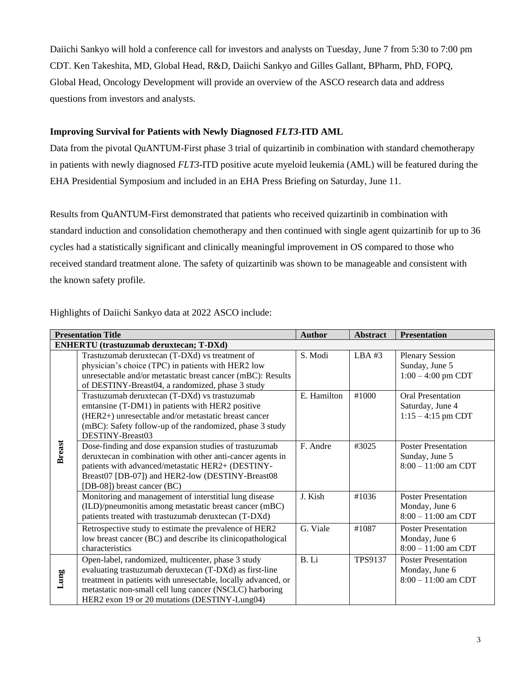Daiichi Sankyo will hold a conference call for investors and analysts on Tuesday, June 7 from 5:30 to 7:00 pm CDT. Ken Takeshita, MD, Global Head, R&D, Daiichi Sankyo and Gilles Gallant, BPharm, PhD, FOPQ, Global Head, Oncology Development will provide an overview of the ASCO research data and address questions from investors and analysts.

## **Improving Survival for Patients with Newly Diagnosed** *FLT3***-ITD AML**

Data from the pivotal QuANTUM-First phase 3 trial of quizartinib in combination with standard chemotherapy in patients with newly diagnosed *FLT3*-ITD positive acute myeloid leukemia (AML) will be featured during the EHA Presidential Symposium and included in an EHA Press Briefing on Saturday, June 11.

Results from QuANTUM-First demonstrated that patients who received quizartinib in combination with standard induction and consolidation chemotherapy and then continued with single agent quizartinib for up to 36 cycles had a statistically significant and clinically meaningful improvement in OS compared to those who received standard treatment alone. The safety of quizartinib was shown to be manageable and consistent with the known safety profile.

| Highlights of Daiichi Sankyo data at 2022 ASCO include: |  |
|---------------------------------------------------------|--|
|---------------------------------------------------------|--|

| <b>Presentation Title</b> |                                                                                                                                                                                                                                                                                            | <b>Author</b> | <b>Abstract</b> | <b>Presentation</b>                                                   |  |  |  |  |
|---------------------------|--------------------------------------------------------------------------------------------------------------------------------------------------------------------------------------------------------------------------------------------------------------------------------------------|---------------|-----------------|-----------------------------------------------------------------------|--|--|--|--|
|                           | <b>ENHERTU</b> (trastuzumab deruxtecan; T-DXd)                                                                                                                                                                                                                                             |               |                 |                                                                       |  |  |  |  |
| <b>Breast</b>             | Trastuzumab deruxtecan (T-DXd) vs treatment of<br>physician's choice (TPC) in patients with HER2 low<br>unresectable and/or metastatic breast cancer (mBC): Results<br>of DESTINY-Breast04, a randomized, phase 3 study                                                                    | S. Modi       | LBA #3          | <b>Plenary Session</b><br>Sunday, June 5<br>$1:00 - 4:00$ pm CDT      |  |  |  |  |
|                           | Trastuzumab deruxtecan (T-DXd) vs trastuzumab<br>emtansine (T-DM1) in patients with HER2 positive<br>(HER2+) unresectable and/or metastatic breast cancer<br>(mBC): Safety follow-up of the randomized, phase 3 study<br>DESTINY-Breast03                                                  | E. Hamilton   | #1000           | <b>Oral Presentation</b><br>Saturday, June 4<br>$1:15 - 4:15$ pm CDT  |  |  |  |  |
|                           | Dose-finding and dose expansion studies of trastuzumab<br>deruxtecan in combination with other anti-cancer agents in<br>patients with advanced/metastatic HER2+ (DESTINY-<br>Breast07 [DB-07]) and HER2-low (DESTINY-Breast08<br>[DB-08]) breast cancer (BC)                               | F. Andre      | #3025           | <b>Poster Presentation</b><br>Sunday, June 5<br>$8:00 - 11:00$ am CDT |  |  |  |  |
|                           | Monitoring and management of interstitial lung disease<br>(ILD)/pneumonitis among metastatic breast cancer (mBC)<br>patients treated with trastuzumab deruxtecan (T-DXd)                                                                                                                   | J. Kish       | #1036           | <b>Poster Presentation</b><br>Monday, June 6<br>$8:00 - 11:00$ am CDT |  |  |  |  |
|                           | Retrospective study to estimate the prevalence of HER2<br>low breast cancer (BC) and describe its clinicopathological<br>characteristics                                                                                                                                                   | G. Viale      | #1087           | <b>Poster Presentation</b><br>Monday, June 6<br>$8:00 - 11:00$ am CDT |  |  |  |  |
| Lung                      | Open-label, randomized, multicenter, phase 3 study<br>evaluating trastuzumab deruxtecan (T-DXd) as first-line<br>treatment in patients with unresectable, locally advanced, or<br>metastatic non-small cell lung cancer (NSCLC) harboring<br>HER2 exon 19 or 20 mutations (DESTINY-Lung04) | R. I.i        | <b>TPS9137</b>  | <b>Poster Presentation</b><br>Monday, June 6<br>$8:00 - 11:00$ am CDT |  |  |  |  |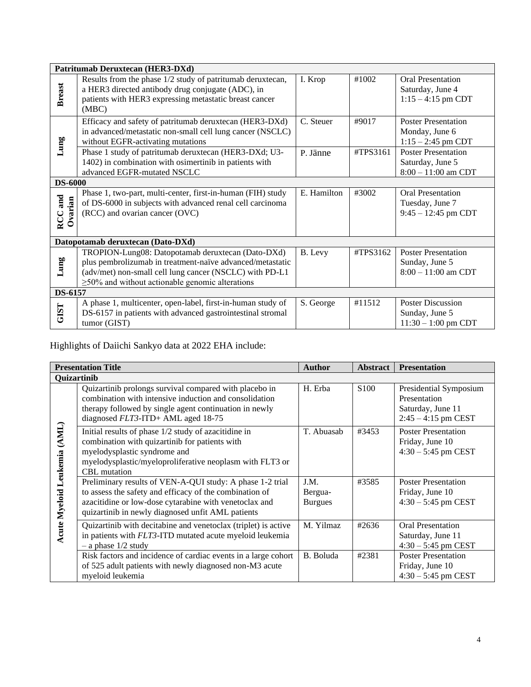| Patritumab Deruxtecan (HER3-DXd)  |                                                                                                                                                                                                                                    |             |          |                                                                         |  |
|-----------------------------------|------------------------------------------------------------------------------------------------------------------------------------------------------------------------------------------------------------------------------------|-------------|----------|-------------------------------------------------------------------------|--|
| <b>Breast</b>                     | Results from the phase 1/2 study of patritumab deruxtecan,<br>a HER3 directed antibody drug conjugate (ADC), in<br>patients with HER3 expressing metastatic breast cancer<br>(MBC)                                                 | I. Krop     | #1002    | <b>Oral Presentation</b><br>Saturday, June 4<br>$1:15 - 4:15$ pm CDT    |  |
| Lung                              | Efficacy and safety of patritumab deruxtecan (HER3-DXd)<br>in advanced/metastatic non-small cell lung cancer (NSCLC)<br>without EGFR-activating mutations                                                                          | C. Steuer   | #9017    | <b>Poster Presentation</b><br>Monday, June 6<br>$1:15 - 2:45$ pm CDT    |  |
|                                   | Phase 1 study of patritumab deruxtecan (HER3-DXd; U3-<br>1402) in combination with osimertinib in patients with<br>advanced EGFR-mutated NSCLC                                                                                     | P. Jänne    | #TPS3161 | <b>Poster Presentation</b><br>Saturday, June 5<br>$8:00 - 11:00$ am CDT |  |
| <b>DS-6000</b>                    |                                                                                                                                                                                                                                    |             |          |                                                                         |  |
| RCC and<br>Ovarian                | Phase 1, two-part, multi-center, first-in-human (FIH) study<br>of DS-6000 in subjects with advanced renal cell carcinoma<br>(RCC) and ovarian cancer (OVC)                                                                         | E. Hamilton | #3002    | <b>Oral Presentation</b><br>Tuesday, June 7<br>$9:45 - 12:45$ pm CDT    |  |
| Datopotamab deruxtecan (Dato-DXd) |                                                                                                                                                                                                                                    |             |          |                                                                         |  |
| Lung                              | TROPION-Lung08: Datopotamab deruxtecan (Dato-DXd)<br>plus pembrolizumab in treatment-naïve advanced/metastatic<br>(adv/met) non-small cell lung cancer (NSCLC) with PD-L1<br>$\geq$ 50% and without actionable genomic alterations | B. Levy     | #TPS3162 | <b>Poster Presentation</b><br>Sunday, June 5<br>$8:00 - 11:00$ am CDT   |  |
| DS-6157                           |                                                                                                                                                                                                                                    |             |          |                                                                         |  |
| <b>GIST</b>                       | A phase 1, multicenter, open-label, first-in-human study of<br>DS-6157 in patients with advanced gastrointestinal stromal<br>tumor (GIST)                                                                                          | S. George   | #11512   | <b>Poster Discussion</b><br>Sunday, June 5<br>$11:30 - 1:00$ pm CDT     |  |

## Highlights of Daiichi Sankyo data at 2022 EHA include:

| <b>Presentation Title</b>              |                                                                                                                                                                                                                                     | <b>Author</b>                     | <b>Abstract</b>  | <b>Presentation</b>                                                                  |  |  |
|----------------------------------------|-------------------------------------------------------------------------------------------------------------------------------------------------------------------------------------------------------------------------------------|-----------------------------------|------------------|--------------------------------------------------------------------------------------|--|--|
| Quizartinib                            |                                                                                                                                                                                                                                     |                                   |                  |                                                                                      |  |  |
| Leukemia (AML)<br><b>Acute Myeloid</b> | Quizartinib prolongs survival compared with placebo in<br>combination with intensive induction and consolidation<br>therapy followed by single agent continuation in newly<br>diagnosed FLT3-ITD+ AML aged 18-75                    | H. Erba                           | S <sub>100</sub> | Presidential Symposium<br>Presentation<br>Saturday, June 11<br>$2:45 - 4:15$ pm CEST |  |  |
|                                        | Initial results of phase 1/2 study of azacitidine in<br>combination with quizartinib for patients with<br>myelodysplastic syndrome and<br>myelodysplastic/myeloproliferative neoplasm with FLT3 or<br><b>CBL</b> mutation           | T. Abuasab                        | #3453            | <b>Poster Presentation</b><br>Friday, June 10<br>$4:30 - 5:45$ pm CEST               |  |  |
|                                        | Preliminary results of VEN-A-QUI study: A phase 1-2 trial<br>to assess the safety and efficacy of the combination of<br>azacitidine or low-dose cytarabine with venetoclax and<br>quizartinib in newly diagnosed unfit AML patients | J.M.<br>Bergua-<br><b>Burgues</b> | #3585            | <b>Poster Presentation</b><br>Friday, June 10<br>$4:30 - 5:45$ pm CEST               |  |  |
|                                        | Quizartinib with decitabine and venetoclax (triplet) is active<br>in patients with FLT3-ITD mutated acute myeloid leukemia<br>$-$ a phase $1/2$ study                                                                               | M. Yilmaz                         | #2636            | <b>Oral Presentation</b><br>Saturday, June 11<br>$4:30 - 5:45$ pm CEST               |  |  |
|                                        | Risk factors and incidence of cardiac events in a large cohort<br>of 525 adult patients with newly diagnosed non-M3 acute<br>myeloid leukemia                                                                                       | B. Boluda                         | #2381            | <b>Poster Presentation</b><br>Friday, June 10<br>$4:30 - 5:45$ pm CEST               |  |  |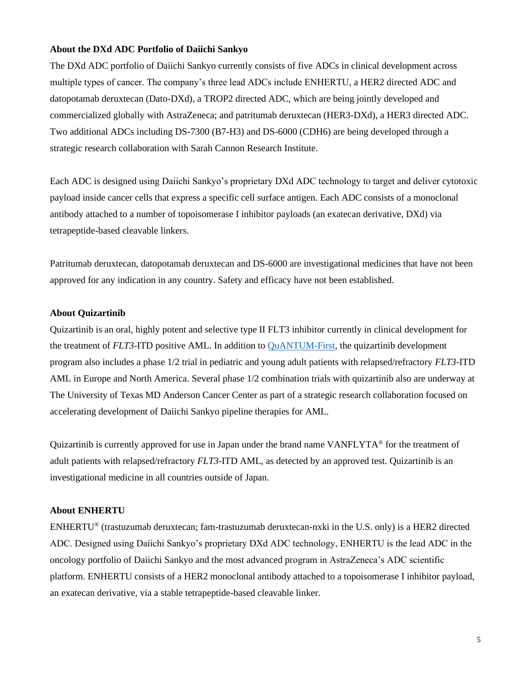#### **About the DXd ADC Portfolio of Daiichi Sankyo**

The DXd ADC portfolio of Daiichi Sankyo currently consists of five ADCs in clinical development across multiple types of cancer. The company's three lead ADCs include ENHERTU, a HER2 directed ADC and datopotamab deruxtecan (Dato-DXd), a TROP2 directed ADC, which are being jointly developed and commercialized globally with AstraZeneca; and patritumab deruxtecan (HER3-DXd), a HER3 directed ADC. Two additional ADCs including DS-7300 (B7-H3) and DS-6000 (CDH6) are being developed through a strategic research collaboration with Sarah Cannon Research Institute.

Each ADC is designed using Daiichi Sankyo's proprietary DXd ADC technology to target and deliver cytotoxic payload inside cancer cells that express a specific cell surface antigen. Each ADC consists of a monoclonal antibody attached to a number of topoisomerase I inhibitor payloads (an exatecan derivative, DXd) via tetrapeptide-based cleavable linkers.

Patritumab deruxtecan, datopotamab deruxtecan and DS-6000 are investigational medicines that have not been approved for any indication in any country. Safety and efficacy have not been established.

#### **About Quizartinib**

Quizartinib is an oral, highly potent and selective type II FLT3 inhibitor currently in clinical development for the treatment of *FLT3*-ITD positive AML. In addition t[o QuANTUM-First,](https://clinicaltrials.gov/ct2/show/NCT02668653?term=quantum-First&draw=2&rank=1) the quizartinib development program also includes a phase 1/2 trial in pediatric and young adult patients with relapsed/refractory *FLT3*-ITD AML in Europe and North America. Several phase 1/2 combination trials with quizartinib also are underway at The University of Texas MD Anderson Cancer Center as part of a strategic research collaboration focused on accelerating development of Daiichi Sankyo pipeline therapies for AML.

Quizartinib is currently approved for use in Japan under the brand name VANFLYTA® for the treatment of adult patients with relapsed/refractory *FLT3*-ITD AML, as detected by an approved test. Quizartinib is an investigational medicine in all countries outside of Japan.

#### **About ENHERTU**

ENHERTU® (trastuzumab deruxtecan; fam-trastuzumab deruxtecan-nxki in the U.S. only) is a HER2 directed ADC. Designed using Daiichi Sankyo's proprietary DXd ADC technology, ENHERTU is the lead ADC in the oncology portfolio of Daiichi Sankyo and the most advanced program in AstraZeneca's ADC scientific platform. ENHERTU consists of a HER2 monoclonal antibody attached to a topoisomerase I inhibitor payload, an exatecan derivative, via a stable tetrapeptide-based cleavable linker.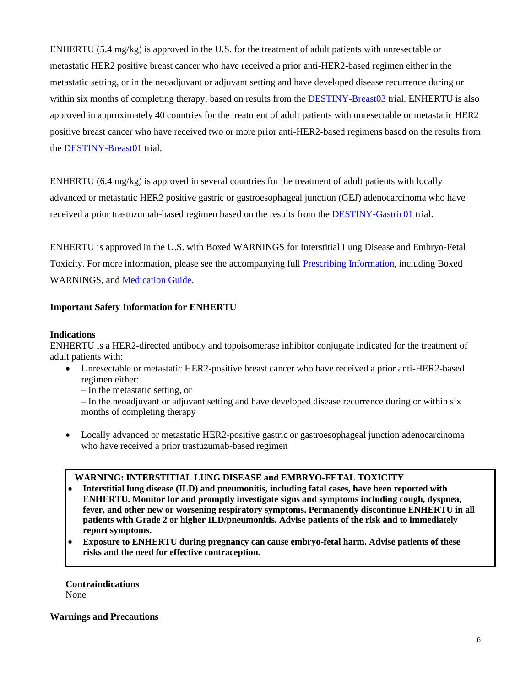ENHERTU (5.4 mg/kg) is approved in the U.S. for the treatment of adult patients with unresectable or metastatic HER2 positive breast cancer who have received a prior anti-HER2-based regimen either in the metastatic setting, or in the neoadjuvant or adjuvant setting and have developed disease recurrence during or within six months of completing therapy, based on results from the [DESTINY-Breast03](https://clinicaltrials.gov/ct2/show/NCT03529110) trial. ENHERTU is also approved in approximately 40 countries for the treatment of adult patients with unresectable or metastatic HER2 positive breast cancer who have received two or more prior anti-HER2-based regimens based on the results from the [DESTINY-Breast01](https://clinicaltrials.gov/ct2/show/NCT03248492) trial.

ENHERTU (6.4 mg/kg) is approved in several countries for the treatment of adult patients with locally advanced or metastatic HER2 positive gastric or gastroesophageal junction (GEJ) adenocarcinoma who have received a prior trastuzumab-based regimen based on the results from the [DESTINY-Gastric01](https://clinicaltrials.gov/ct2/show/NCT03329690) trial.

ENHERTU is approved in the U.S. with Boxed WARNINGS for Interstitial Lung Disease and Embryo-Fetal Toxicity. For more information, please see the accompanying full [Prescribing Information,](https://dsi.com/prescribing-information-portlet/getPIContent?productName=Enhertu&inline=true) including Boxed WARNINGS, and [Medication Guide.](https://dsi.com/prescribing-information-portlet/getPIContent?productName=Enhertu_Med&inline=true)

## **Important Safety Information for ENHERTU**

#### **Indications**

ENHERTU is a HER2-directed antibody and topoisomerase inhibitor conjugate indicated for the treatment of adult patients with:

• Unresectable or metastatic HER2-positive breast cancer who have received a prior anti-HER2-based regimen either:

– In the metastatic setting, or

– In the neoadjuvant or adjuvant setting and have developed disease recurrence during or within six months of completing therapy

• Locally advanced or metastatic HER2-positive gastric or gastroesophageal junction adenocarcinoma who have received a prior trastuzumab-based regimen

#### **WARNING: INTERSTITIAL LUNG DISEASE and EMBRYO-FETAL TOXICITY**

- **Interstitial lung disease (ILD) and pneumonitis, including fatal cases, have been reported with ENHERTU. Monitor for and promptly investigate signs and symptoms including cough, dyspnea, fever, and other new or worsening respiratory symptoms. Permanently discontinue ENHERTU in all patients with Grade 2 or higher ILD/pneumonitis. Advise patients of the risk and to immediately report symptoms.**
- **Exposure to ENHERTU during pregnancy can cause embryo-fetal harm. Advise patients of these risks and the need for effective contraception.**

**Contraindications** None

**Warnings and Precautions**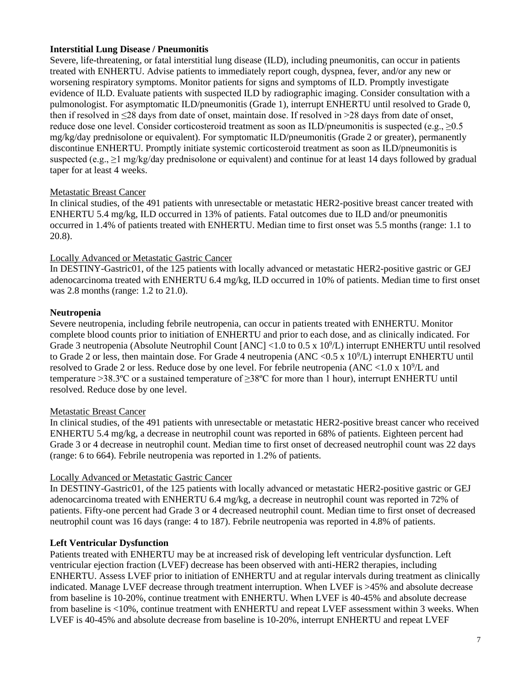## **Interstitial Lung Disease / Pneumonitis**

Severe, life-threatening, or fatal interstitial lung disease (ILD), including pneumonitis, can occur in patients treated with ENHERTU. Advise patients to immediately report cough, dyspnea, fever, and/or any new or worsening respiratory symptoms. Monitor patients for signs and symptoms of ILD. Promptly investigate evidence of ILD. Evaluate patients with suspected ILD by radiographic imaging. Consider consultation with a pulmonologist. For asymptomatic ILD/pneumonitis (Grade 1), interrupt ENHERTU until resolved to Grade 0, then if resolved in ≤28 days from date of onset, maintain dose. If resolved in >28 days from date of onset, reduce dose one level. Consider corticosteroid treatment as soon as ILD/pneumonitis is suspected (e.g., ≥0.5 mg/kg/day prednisolone or equivalent). For symptomatic ILD/pneumonitis (Grade 2 or greater), permanently discontinue ENHERTU. Promptly initiate systemic corticosteroid treatment as soon as ILD/pneumonitis is suspected (e.g., >1 mg/kg/day prednisolone or equivalent) and continue for at least 14 days followed by gradual taper for at least 4 weeks.

## Metastatic Breast Cancer

In clinical studies, of the 491 patients with unresectable or metastatic HER2-positive breast cancer treated with ENHERTU 5.4 mg/kg, ILD occurred in 13% of patients. Fatal outcomes due to ILD and/or pneumonitis occurred in 1.4% of patients treated with ENHERTU. Median time to first onset was 5.5 months (range: 1.1 to 20.8).

## Locally Advanced or Metastatic Gastric Cancer

In DESTINY-Gastric01, of the 125 patients with locally advanced or metastatic HER2-positive gastric or GEJ adenocarcinoma treated with ENHERTU 6.4 mg/kg, ILD occurred in 10% of patients. Median time to first onset was 2.8 months (range: 1.2 to 21.0).

## **Neutropenia**

Severe neutropenia, including febrile neutropenia, can occur in patients treated with ENHERTU. Monitor complete blood counts prior to initiation of ENHERTU and prior to each dose, and as clinically indicated. For Grade 3 neutropenia (Absolute Neutrophil Count [ANC] <1.0 to 0.5 x 10<sup>9</sup>/L) interrupt ENHERTU until resolved to Grade 2 or less, then maintain dose. For Grade 4 neutropenia (ANC < $0.5 \times 10^9$ /L) interrupt ENHERTU until resolved to Grade 2 or less. Reduce dose by one level. For febrile neutropenia (ANC <1.0 x  $10^9$ /L and temperature >38.3ºC or a sustained temperature of ≥38ºC for more than 1 hour), interrupt ENHERTU until resolved. Reduce dose by one level.

## Metastatic Breast Cancer

In clinical studies, of the 491 patients with unresectable or metastatic HER2-positive breast cancer who received ENHERTU 5.4 mg/kg, a decrease in neutrophil count was reported in 68% of patients. Eighteen percent had Grade 3 or 4 decrease in neutrophil count. Median time to first onset of decreased neutrophil count was 22 days (range: 6 to 664). Febrile neutropenia was reported in 1.2% of patients.

## Locally Advanced or Metastatic Gastric Cancer

In DESTINY-Gastric01, of the 125 patients with locally advanced or metastatic HER2-positive gastric or GEJ adenocarcinoma treated with ENHERTU 6.4 mg/kg, a decrease in neutrophil count was reported in 72% of patients. Fifty-one percent had Grade 3 or 4 decreased neutrophil count. Median time to first onset of decreased neutrophil count was 16 days (range: 4 to 187). Febrile neutropenia was reported in 4.8% of patients.

## **Left Ventricular Dysfunction**

Patients treated with ENHERTU may be at increased risk of developing left ventricular dysfunction. Left ventricular ejection fraction (LVEF) decrease has been observed with anti-HER2 therapies, including ENHERTU. Assess LVEF prior to initiation of ENHERTU and at regular intervals during treatment as clinically indicated. Manage LVEF decrease through treatment interruption. When LVEF is >45% and absolute decrease from baseline is 10-20%, continue treatment with ENHERTU. When LVEF is 40-45% and absolute decrease from baseline is <10%, continue treatment with ENHERTU and repeat LVEF assessment within 3 weeks. When LVEF is 40-45% and absolute decrease from baseline is 10-20%, interrupt ENHERTU and repeat LVEF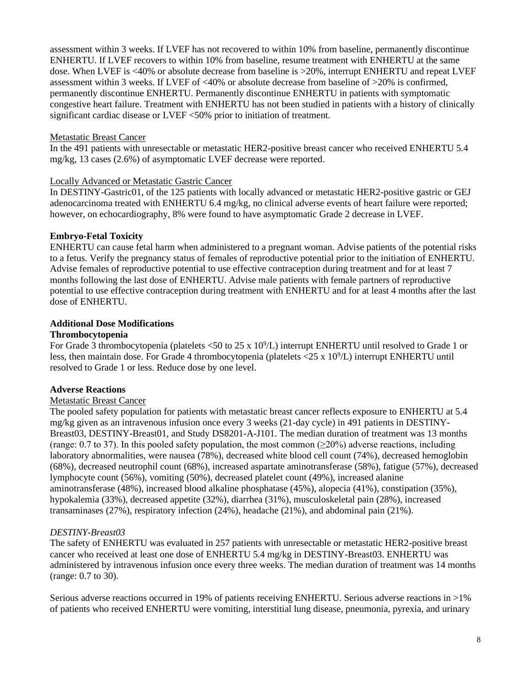assessment within 3 weeks. If LVEF has not recovered to within 10% from baseline, permanently discontinue ENHERTU. If LVEF recovers to within 10% from baseline, resume treatment with ENHERTU at the same dose. When LVEF is <40% or absolute decrease from baseline is >20%, interrupt ENHERTU and repeat LVEF assessment within 3 weeks. If LVEF of  $\langle 40\%$  or absolute decrease from baseline of  $>20\%$  is confirmed, permanently discontinue ENHERTU. Permanently discontinue ENHERTU in patients with symptomatic congestive heart failure. Treatment with ENHERTU has not been studied in patients with a history of clinically significant cardiac disease or LVEF <50% prior to initiation of treatment.

## Metastatic Breast Cancer

In the 491 patients with unresectable or metastatic HER2-positive breast cancer who received ENHERTU 5.4 mg/kg, 13 cases (2.6%) of asymptomatic LVEF decrease were reported.

## Locally Advanced or Metastatic Gastric Cancer

In DESTINY-Gastric01, of the 125 patients with locally advanced or metastatic HER2-positive gastric or GEJ adenocarcinoma treated with ENHERTU 6.4 mg/kg, no clinical adverse events of heart failure were reported; however, on echocardiography, 8% were found to have asymptomatic Grade 2 decrease in LVEF.

## **Embryo-Fetal Toxicity**

ENHERTU can cause fetal harm when administered to a pregnant woman. Advise patients of the potential risks to a fetus. Verify the pregnancy status of females of reproductive potential prior to the initiation of ENHERTU. Advise females of reproductive potential to use effective contraception during treatment and for at least 7 months following the last dose of ENHERTU. Advise male patients with female partners of reproductive potential to use effective contraception during treatment with ENHERTU and for at least 4 months after the last dose of ENHERTU.

## **Additional Dose Modifications**

## **Thrombocytopenia**

For Grade 3 thrombocytopenia (platelets <50 to 25 x  $10^9$ /L) interrupt ENHERTU until resolved to Grade 1 or less, then maintain dose. For Grade 4 thrombocytopenia (platelets  $\langle 25 \times 10^9 \rangle L$ ) interrupt ENHERTU until resolved to Grade 1 or less. Reduce dose by one level.

## **Adverse Reactions**

## Metastatic Breast Cancer

The pooled safety population for patients with metastatic breast cancer reflects exposure to ENHERTU at 5.4 mg/kg given as an intravenous infusion once every 3 weeks (21-day cycle) in 491 patients in DESTINY-Breast03, DESTINY-Breast01, and Study DS8201-A-J101. The median duration of treatment was 13 months (range: 0.7 to 37). In this pooled safety population, the most common  $(\geq 20\%)$  adverse reactions, including laboratory abnormalities, were nausea (78%), decreased white blood cell count (74%), decreased hemoglobin (68%), decreased neutrophil count (68%), increased aspartate aminotransferase (58%), fatigue (57%), decreased lymphocyte count (56%), vomiting (50%), decreased platelet count (49%), increased alanine aminotransferase (48%), increased blood alkaline phosphatase (45%), alopecia (41%), constipation (35%), hypokalemia (33%), decreased appetite (32%), diarrhea (31%), musculoskeletal pain (28%), increased transaminases (27%), respiratory infection (24%), headache (21%), and abdominal pain (21%).

## *DESTINY-Breast03*

The safety of ENHERTU was evaluated in 257 patients with unresectable or metastatic HER2-positive breast cancer who received at least one dose of ENHERTU 5.4 mg/kg in DESTINY-Breast03. ENHERTU was administered by intravenous infusion once every three weeks. The median duration of treatment was 14 months (range: 0.7 to 30).

Serious adverse reactions occurred in 19% of patients receiving ENHERTU. Serious adverse reactions in >1% of patients who received ENHERTU were vomiting, interstitial lung disease, pneumonia, pyrexia, and urinary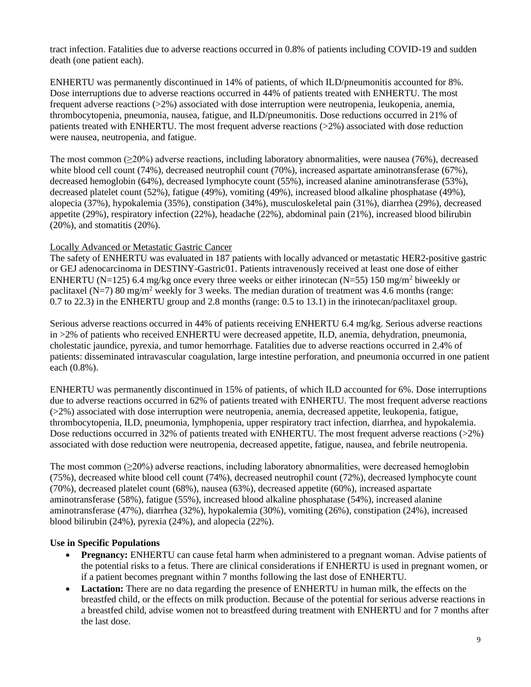tract infection. Fatalities due to adverse reactions occurred in 0.8% of patients including COVID-19 and sudden death (one patient each).

ENHERTU was permanently discontinued in 14% of patients, of which ILD/pneumonitis accounted for 8%. Dose interruptions due to adverse reactions occurred in 44% of patients treated with ENHERTU. The most frequent adverse reactions (>2%) associated with dose interruption were neutropenia, leukopenia, anemia, thrombocytopenia, pneumonia, nausea, fatigue, and ILD/pneumonitis. Dose reductions occurred in 21% of patients treated with ENHERTU. The most frequent adverse reactions  $(>2\%)$  associated with dose reduction were nausea, neutropenia, and fatigue.

The most common (≥20%) adverse reactions, including laboratory abnormalities, were nausea (76%), decreased white blood cell count (74%), decreased neutrophil count (70%), increased aspartate aminotransferase (67%), decreased hemoglobin (64%), decreased lymphocyte count (55%), increased alanine aminotransferase (53%), decreased platelet count (52%), fatigue (49%), vomiting (49%), increased blood alkaline phosphatase (49%), alopecia (37%), hypokalemia (35%), constipation (34%), musculoskeletal pain (31%), diarrhea (29%), decreased appetite (29%), respiratory infection (22%), headache (22%), abdominal pain (21%), increased blood bilirubin (20%), and stomatitis (20%).

## Locally Advanced or Metastatic Gastric Cancer

The safety of ENHERTU was evaluated in 187 patients with locally advanced or metastatic HER2-positive gastric or GEJ adenocarcinoma in DESTINY-Gastric01. Patients intravenously received at least one dose of either ENHERTU (N=125) 6.4 mg/kg once every three weeks or either irinotecan (N=55) 150 mg/m<sup>2</sup> biweekly or paclitaxel (N=7) 80 mg/m<sup>2</sup> weekly for 3 weeks. The median duration of treatment was 4.6 months (range: 0.7 to 22.3) in the ENHERTU group and 2.8 months (range: 0.5 to 13.1) in the irinotecan/paclitaxel group.

Serious adverse reactions occurred in 44% of patients receiving ENHERTU 6.4 mg/kg. Serious adverse reactions in >2% of patients who received ENHERTU were decreased appetite, ILD, anemia, dehydration, pneumonia, cholestatic jaundice, pyrexia, and tumor hemorrhage. Fatalities due to adverse reactions occurred in 2.4% of patients: disseminated intravascular coagulation, large intestine perforation, and pneumonia occurred in one patient each (0.8%).

ENHERTU was permanently discontinued in 15% of patients, of which ILD accounted for 6%. Dose interruptions due to adverse reactions occurred in 62% of patients treated with ENHERTU. The most frequent adverse reactions (>2%) associated with dose interruption were neutropenia, anemia, decreased appetite, leukopenia, fatigue, thrombocytopenia, ILD, pneumonia, lymphopenia, upper respiratory tract infection, diarrhea, and hypokalemia. Dose reductions occurred in 32% of patients treated with ENHERTU. The most frequent adverse reactions (>2%) associated with dose reduction were neutropenia, decreased appetite, fatigue, nausea, and febrile neutropenia.

The most common  $(\geq 20\%)$  adverse reactions, including laboratory abnormalities, were decreased hemoglobin (75%), decreased white blood cell count (74%), decreased neutrophil count (72%), decreased lymphocyte count (70%), decreased platelet count (68%), nausea (63%), decreased appetite (60%), increased aspartate aminotransferase (58%), fatigue (55%), increased blood alkaline phosphatase (54%), increased alanine aminotransferase (47%), diarrhea (32%), hypokalemia (30%), vomiting (26%), constipation (24%), increased blood bilirubin (24%), pyrexia (24%), and alopecia (22%).

## **Use in Specific Populations**

- **Pregnancy:** ENHERTU can cause fetal harm when administered to a pregnant woman. Advise patients of the potential risks to a fetus. There are clinical considerations if ENHERTU is used in pregnant women, or if a patient becomes pregnant within 7 months following the last dose of ENHERTU.
- **Lactation:** There are no data regarding the presence of ENHERTU in human milk, the effects on the breastfed child, or the effects on milk production. Because of the potential for serious adverse reactions in a breastfed child, advise women not to breastfeed during treatment with ENHERTU and for 7 months after the last dose.